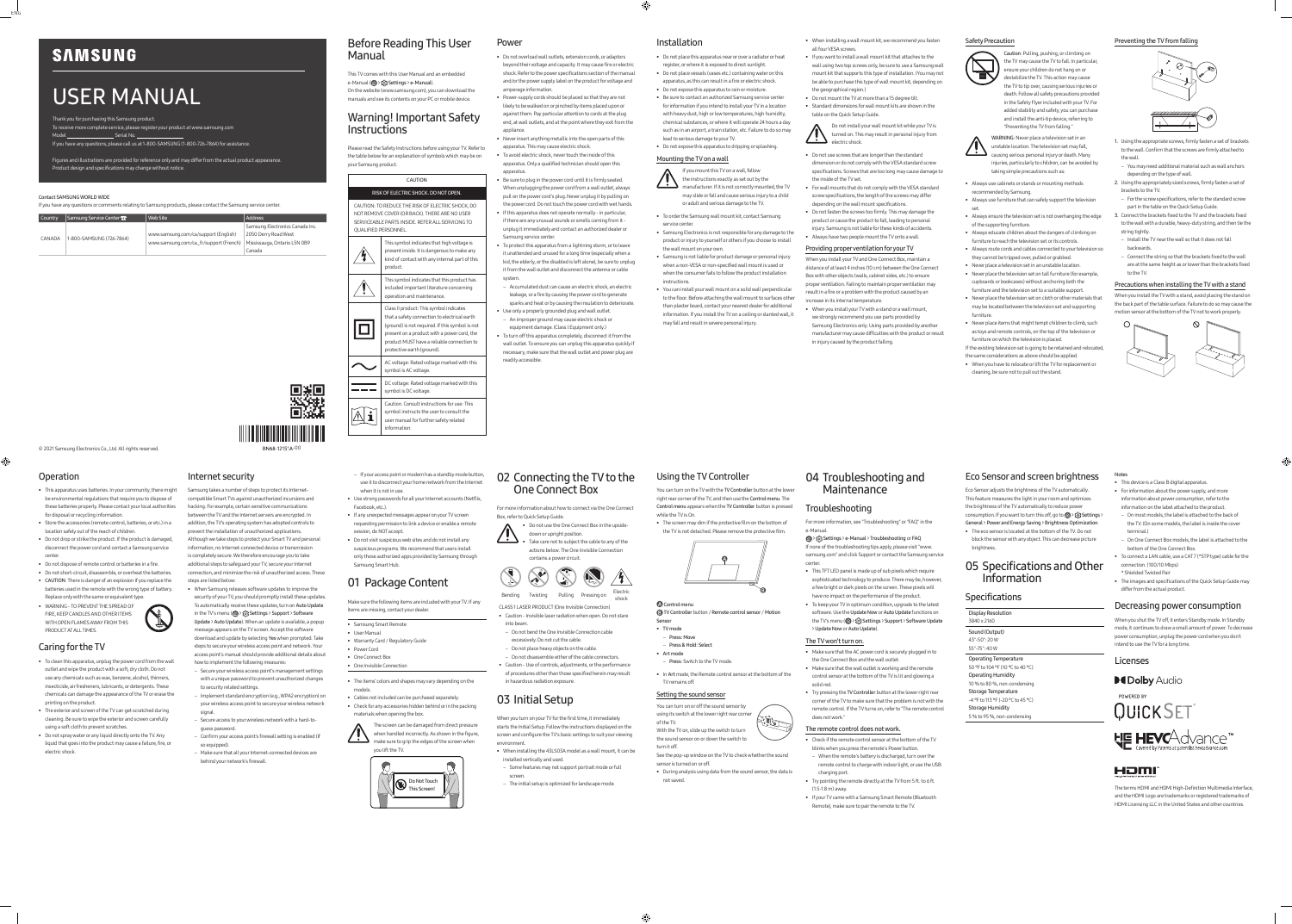### © 2021 Samsung Electronics Co., Ltd. All rights reserved.

Thank you for purchasing this Samsung product. To receive more complete service, please register your product at www.samsung.com Model Serial No.

# USER MANUAL

If you have any questions, please call us at 1-800-SAMSUNG (1-800-726-7864) for assistance.

Figures and illustrations are provided for reference only and may differ from the actual product appearance.

Product design and specifications may change without notice.

### Before Reading This User Manual

This TV comes with this User Manual and an embedded e-Manual (@> & Settings > e-Manual). On the website (www.samsung.com), you can download the manuals and see its contents on your PC or mobile device.

### Warning! Important Safety Instructions

Please read the Safety Instructions before using your TV. Refer to the table below for an explanation of symbols which may be on your Samsung product.

CAUTION

### RISK OF ELECTRIC SHOCK. DO NOT OPEN.

CAUTION: TO REDUCE THE RISK OF ELECTRIC SHOCK, DO NOT REMOVE COVER (OR BACK). THERE ARE NO USER SERVICEABLE PARTS INSIDE. REFER ALL SERVICING TO QUALIFIED PERSONNEL.

| This symbol indicates that high voltage is<br>present inside. It is dangerous to make any<br>kind of contact with any internal part of this<br>product.                                                                                                               |
|-----------------------------------------------------------------------------------------------------------------------------------------------------------------------------------------------------------------------------------------------------------------------|
| This symbol indicates that this product has<br>included important literature concerning<br>operation and maintenance.                                                                                                                                                 |
| Class II product: This symbol indicates<br>that a safety connection to electrical earth<br>(ground) is not required. If this symbol is not<br>present on a product with a power cord, the<br>product MUST have a reliable connection to<br>protective earth (ground). |
| AC voltage: Rated voltage marked with this<br>symbol is AC voltage.                                                                                                                                                                                                   |
| DC voltage: Rated voltage marked with this<br>symbol is DC voltage.                                                                                                                                                                                                   |
| Caution. Consult instructions for use: This<br>symbol instructs the user to consult the<br>user manual for further safety related                                                                                                                                     |

information.

### Power

• Do not overload wall outlets, extension cords, or adaptors beyond their voltage and capacity. It may cause fire or electric shock. Refer to the power specifications section of the manual and/or the power supply label on the product for voltage and amperage information.

### • When installing a wall mount kit, we recommend you fasten all four VESA screw

- Power-supply cords should be placed so that they are not likely to be walked on or pinched by items placed upon or against them. Pay particular attention to cords at the plug end, at wall outlets, and at the point where they exit from the appliance.
- Never insert anything metallic into the open parts of this apparatus. This may cause electric shock.
- To avoid electric shock, never touch the inside of this apparatus. Only a qualified technician should open this apparatus.
- Be sure to plug in the power cord until it is firmly seated. When unplugging the power cord from a wall outlet, always pull on the power cord's plug. Never unplug it by pulling on the power cord. Do not touch the power cord with wet hands. • If this apparatus does not operate normally - in particular,
- if there are any unusual sounds or smells coming from it unplug it immediately and contact an authorized dealer or Samsung service center
- To protect this apparatus from a lightning storm, or to leave it unattended and unused for a long time (especially when a kid, the elderly, or the disabled is left alone), be sure to unplug it from the wall outlet and disconnect the antenna or cable system.
- Accumulated dust can cause an electric shock, an electric leakage, or a fire by causing the power cord to generate sparks and heat or by causing the insulation to deteriorate.
- Use only a properly grounded plug and wall outlet. – An improper ground may cause electric shock or equipment damage. (Class l Equipment only.)
- To turn off this apparatus completely, disconnect it from the wall outlet. To ensure you can unplug this apparatus quickly if necessary, make sure that the wall outlet and power plug are readily accessible.

### Installation

• Do not place this apparatus near or over a radiator or heat register, or where it is exposed to direct sunlight. • Do not place vessels (vases etc.) containing water on this apparatus, as this can result in a fire or electric shock.

• Do not expose this apparatus to rain or moisture. • Be sure to contact an authorized Samsung service center for information if you intend to install your TV in a location with heavy dust, high or low temperatures, high humidity, chemical substances, or where it will operate 24 hours a day





lead to serious damage to your TV. • Do not expose this apparatus to dripping or splashing.

### Mounting the TV on a wall

If you mount this TV on a wall, follow the instructions exactly as set out by the

manufacturer. If it is not correctly mounted, the TV may slide or fall and cause serious injury to a child or adult and serious damage to the TV.

### • To order the Samsung wall mount kit, contact Samsung

- service center. • Samsung Electronics is not responsible for any damage to the product or injury to yourself or others if you choose to install the wall mount on your own.
- Samsung is not liable for product damage or personal injury when a non-VESA or non-specified wall mount is used or when the consumer fails to follow the product installation instructions.

• You can install your wall mount on a solid wall perpendicular to the floor. Before attaching the wall mount to surfaces other than plaster board, contact your nearest dealer for additional information. If you install the TV on a ceiling or slanted wall, it may fall and result in severe personal injury.

- If you want to install a wall mount kit that attaches to the wall using two top screws only, be sure to use a Samsung wall mount kit that supports this type of installation. (You may not be able to purchase this type of wall mount kit, depending on
- the geographical region.) • Do not mount the TV at more than a 15 degree tilt. • Standard dimensions for wall mount kits are shown in the table on the Quick Setup Guide.

Do not install your wall mount kit while your TV is turned on. This may result in personal injury from electric shock.

- Do not use screws that are longer than the standard dimension or do not comply with the VESA standard screw specifications. Screws that are too long may cause damage to the inside of the TV set.
- For wall mounts that do not comply with the VESA standard screw specifications, the length of the screws may differ depending on the wall mount specifications.
- Do not fasten the screws too firmly. This may damage the product or cause the product to fall, leading to personal injury. Samsung is not liable for these kinds of accidents.
- Always have two people mount the TV onto a wall.

### Providing proper ventilation for your TV

When you install your TV and One Connect Box, maintain a distance of at least 4 inches (10 cm) between the One Connect Box with other objects (walls, cabinet sides, etc.) to ensure proper ventilation. Failing to maintain proper ventilation may result in a fire or a problem with the product caused by an increase in its internal temperature.

• When you install your TV with a stand or a wall mount, we strongly recommend you use parts provided by Samsung Electronics only. Using parts provided by another manufacturer may cause difficulties with the product or result in injury caused by the product falling.

### Safety Precaution



Caution: Pulling, pushing, or climbing on

the TV may cause the TV to fall. In particular, ensure your children do not hang on or destabilize the TV. This action may cause the TV to tip over, causing serious injuries or death. Follow all safety precautions provided in the Safety Flyer included with your TV. For added stability and safety, you can purchase and install the anti-tip device, referring to "Preventing the TV from falling."



You can turn on the TV with the TV Controller button at the lower right rear corner of the TV, and then use the Control menu. The Control menu appears when the TV Controller button is pressed while the TV is On.

**Control menu** TV Controller button / Remote control sensor / Motion  > Settings > e-Manual > Troubleshooting or FAQ If none of the troubleshooting tips apply, please visit "www. samsung.com" and click Support or contact the Samsung service cente

- Always use cabinets or stands or mounting methods
- recommended by Samsung. • Always use furniture that can safely support the television
- set. • Always ensure the television set is not overhanging the edge of the supporting furniture.
- Always educate children about the dangers of climbing on furniture to reach the television set or its control:
- Always route cords and cables connected to your television so they cannot be tripped over, pulled or grabbed.
- Never place a television set in an unstable location. • Never place the television set on tall furniture (for example,
- cupboards or bookcases) without anchoring both the furniture and the television set to a suitable support.
- Never place the television set on cloth or other materials that may be located between the television set and supporting furniture.
- Never place items that might tempt children to climb, such as toys and remote controls, on the top of the television or furniture on which the television is placed.
- If the existing television set is going to be retained and relocated,
- the same considerations as above should be applied. • When you have to relocate or lift the TV for replacement or cleaning, be sure not to pull out the stand.

Preventing the TV from falling



Eco Sensor adjusts the brightness of the TV automatically. This feature measures the light in your room and optimizes the brightness of the TV automatically to reduce power consumption. If you want to turn this off, go to @ > & Settings >

- 1. Using the appropriate screws, firmly fasten a set of brackets to the wall. Confirm that the screws are firmly attached to the wall.
- You may need additional material such as wall anchors depending on the type of wall.
- 2. Using the appropriately sized screws, firmly fasten a set of brackets to the TV.
- For the screw specifications, refer to the standard screw part in the table on the Quick Setup Guide.
- 3. Connect the brackets fixed to the TV and the brackets fixed to the wall with a durable, heavy-duty string, and then tie the string tightly.
- Install the TV near the wall so that it does not fall backwards.
- Connect the string so that the brackets fixed to the wall are at the same height as or lower than the brackets fixed to the TV.

### Precautions when installing the TV with a stand

When you install the TV with a stand, avoid placing the stand on the back part of the table surface. Failure to do so may cause the motion sensor at the bottom of the TV not to work properly.



### Operation

 $\bigoplus$ 

- This apparatus uses batteries. In your community, there might be environmental regulations that require you to dispose of these batteries properly. Please contact your local authorities for disposal or recycling information.
- Store the accessories (remote control, batteries, or etc.) in a location safely out of the reach of children.
- Do not drop or strike the product. If the product is damaged, disconnect the power cord and contact a Samsung service center.
- Do not dispose of remote control or batteries in a fire.
- Do not short-circuit, disassemble, or overheat the batteries. • CAUTION: There is danger of an explosion if you replace the batteries used in the remote with the wrong type of battery.
- Replace only with the same or equivalent type. • WARNING - TO PREVENT THE SPREAD OF FIRE, KEEP CANDLES AND OTHER ITEMS WITH OPEN FLAMES AWAY FROM THIS



PRODUCT AT ALL TIMES.

### Caring for the TV

- To clean this apparatus, unplug the power cord from the wall ith a soft, dry cloth. Do n use any chemicals such as wax, benzene, alcohol, thinners, insecticide, air fresheners, lubricants, or detergents. These chemicals can damage the appearance of the TV or erase the printing on the product.
- The exterior and screen of the TV can get scratched during cleaning. Be sure to wipe the exterior and screen carefully using a soft cloth to prevent scratches.
- Do not spray water or any liquid directly onto the TV. Any liquid that goes into the product may cause a failure, fire, or electric shock.

BN68-12151A-00

■<br>■滋

### Internet security

Samsung takes a number of steps to protect its Internetcompatible Smart TVs against unauthorized incursions and hacking. For example, certain sensitive communications between the TV and the Internet servers are encrypted. In addition, the TV's operating system has adopted controls to prevent the installation of unauthorized applications. Although we take steps to protect your Smart TV and personal information, no Internet-connected device or transmission is completely secure. We therefore encourage you to take additional steps to safeguard your TV, secure your Internet connection, and minimize the risk of unauthorized access. These steps are listed below:

- When Samsung releases software updates to improve the security of your TV, you should promptly install these updates.
- To automatically receive these updates, turn on Auto Update in the TV's menu ( $\textcircled{a}$ )  $\textcircled{c}$  Settings > Support > Software Update > Auto Update). When an update is available, a popup

message appears on the TV screen. Accept the software download and update by selecting Yes when prompted. Take steps to secure your wireless access point and network. Your access point's manual should provide additional details about

- how to implement the following measures: – Secure your wireless access point's management settings with a unique password to prevent unauthorized changes
- to security related settings. – Implement standard encryption (e.g., WPA2 encryption) on
- your wireless access point to secure your wireless network signal.
- Secure access to your wireless network with a hard-toguess password.
- Confirm your access point's firewall setting is enabled (if so equipped). – Make sure that all your Internet-connected devices are
- behind your network's firewall.
- 
- If your access point or modem has a standby mode button, use it to disconnect your home network from the Internet when it is not in use.
- Use strong passwords for all your Internet accounts (Netflix, Facebook, etc.).
- If any unexpected messages appear on your TV screen requesting permission to link a device or enable a remote session, do NOT accept.
- Do not visit suspicious web sites and do not install any suspicious programs. We recommend that users install only those authorized apps provided by Samsung through Samsung Smart Hub.

## 01 Package Content

Make sure the following items are included with your TV. If any items are missing, contact your dealer.

- Samsung Smart Remote
- User Manual
- Warranty Card / Regulatory Guide
- Power Cord • One Connect Box
- One Invisible Connection

• The items' colors and shapes may vary depending on the models.

• Cables not included can be purchased separately. • Check for any accessories hidden behind or in the packing materials when opening the box.

The screen can be damaged from direct pressure when handled incorrectly. As shown in the figure, make sure to grip the edges of the screen when you lift the TV.



### 02 Connecting the TV to the One Connect Box

For more information about how to connect via the One Connect Box, refer to Quick Setup Guide.

• Do not use the One Connect Box in the upsidedown or upright position. Take care not to subject the cable to any of the actions below. The One Invisible Connection

contains a power circuit.

shock CLASS 1 LASER PRODUCT (One Invisible Connection)

• Caution - Invisible laser radiation when open. Do not stare into beam. – Do not bend the One Invisible Connection cable

Twisting Pulling Pressing on

- excessively. Do not cut the cable.
- Do not place heavy objects on the cable. – Do not disassemble either of the cable connectors.
- Caution Use of controls, adjustments, or the performance of procedures other than those specified herein may result in hazardous radiation exposure.

### 03 Initial Setup

When you turn on your TV for the first time, it immediately starts the Initial Setup. Follow the instructions displayed on the screen and configure the TV's basic settings to suit your viewing environment.

- When installing the 43LS03A model as a wall mount, it can be installed vertically and used. – Some features may not support portrait mode or full
- screen – The initial setup is optimized for landscape mode.

### Using the TV Controller

• The screen may dim if the protective film on the bottom of the TV is not detached. Please remove the protective film.



Sensor

### • TV mode

– Press: Move – Press & Hold: Select

• Art mode – Press: Switch to the TV mode.

• In Art mode, the Remote control sensor at the bottom of the TV remains off.

### Setting the sound sensor

You can turn on or off the sound sensor by using its switch at the lower right rear corner With the TV on, slide up the switch to turn

- of the TV. turn it off.
- 

⊕

⊕

the sound sensor on or down the switch to

- See the pop-up window on the TV to check whether the sound sensor is turned on or off. • During analysis using data from the sound sensor, the data is
- not saved.

### 04 Troubleshooting and Maintenance

### Troubleshooting

For more information, see "Troubleshooting" or "FAQ" in the e-Manual.

- This TFT LED panel is made up of sub pixels which require sophisticated technology to produce. There may be, however, a few bright or dark pixels on the screen. These pixels will have no impact on the performance of the product.
- To keep your TV in optimum condition, upgrade to the latest software. Use the Update Now or Auto Update functions on the TV's menu (  $\textcircled{a}$  > ξό} Settings > Support > Software Update > Update Now or Auto Update).

### The TV won't turn on.

- Make sure that the AC power cord is securely plugged in to the One Connect Box and the wall outlet.
- Make sure that the wall outlet is working and the remote control sensor at the bottom of the TV is lit and glowing a
- solid red • Try pressing the TV Controller button at the lower right rear corner of the TV to make sure that the problem is not with the remote control. If the TV turns on, refer to "The remote control does not work."

The remote control does not work.

- 
- Check if the remote control sensor at the bottom of the TV blinks when you press the remote's Power button.
- When the remote's battery is discharged, turn over the remote control to charge with indoor light, or use the USB charging port.
- Try pointing the remote directly at the TV from 5 ft. to 6 ft. (1.5-1.8 m) away.
- If your TV came with a Samsung Smart Remote (Bluetooth Remote), make sure to pair the remote to the TV.

### Eco Sensor and screen brightness

General > Power and Energy Saving > Brightness Optimization. • The eco sensor is located at the bottom of the TV. Do not

block the sensor with any object. This can decrease picture brightness.

### 05 Specifications and Other Information

### **Specifications**

### Display Resolution 3840 x 2160 Sound (Output) 43"-50": 20 W 55"-75": 40 W Operating Temperature 50 °F to 104 °F (10 °C to 40 °C) Operating Humidity 10 % to 80 %, non-condensing Storage Temperature -4 °F to 113 °F (-20 °C to 45 °C) Storage Humidity

5 % to 95 %, non-condensing



### • This device is a Class B digital apparatus.

• For information about the power supply, and more

- information about power consumption, refer to the information on the label attached to the product. – On most models, the label is attached to the back of
- the TV. (On some models, the label is inside the cover terminal.) – On One Connect Box models, the label is attached to the

bottom of the One Connect Box.

• To connect a LAN cable, use a CAT 7 (\*STP type) cable for the

connection. (100/10 Mbps) \* Shielded Twisted Pair

• The images and specifications of the Quick Setup Guide may differ from the actual product. Decreasing power consumption

When you shut the TV off, it enters Standby mode. In Standby mode, it continues to draw a small amount of power. To decrease power consumption, unplug the power cord when you don't intend to use the TV for a long time.

### Licenses

**DeDolby Audio** 

POWERED BY QUICKSET **HE HEVCAdvance** 

### HƏMI

The terms HDMI and HDMI High-Definition Multimedia Interface, and the HDMI Logo are trademarks or registered trademarks of HDMI Licensing LLC in the United States and other countries.

# **SAMSUNG**

ENG

### Contact SAMSUNG WORLD WIDE

If you have any questions or comments relating to Samsung products, please contact the Samsung service center.

| <b>Country</b> | Samsung Service Center 2 | Web Site                               | Address                         |
|----------------|--------------------------|----------------------------------------|---------------------------------|
| CANADA         | 1-800-SAMSUNG (726-7864) |                                        | Samsung Electronics Canada Inc. |
|                |                          | www.samsung.com/ca/support (English)   | 2050 Derry Road West            |
|                |                          | www.samsung.com/ca fr/support (French) | Mississauga, Ontario L5N 0B9    |
|                |                          |                                        | Canada                          |